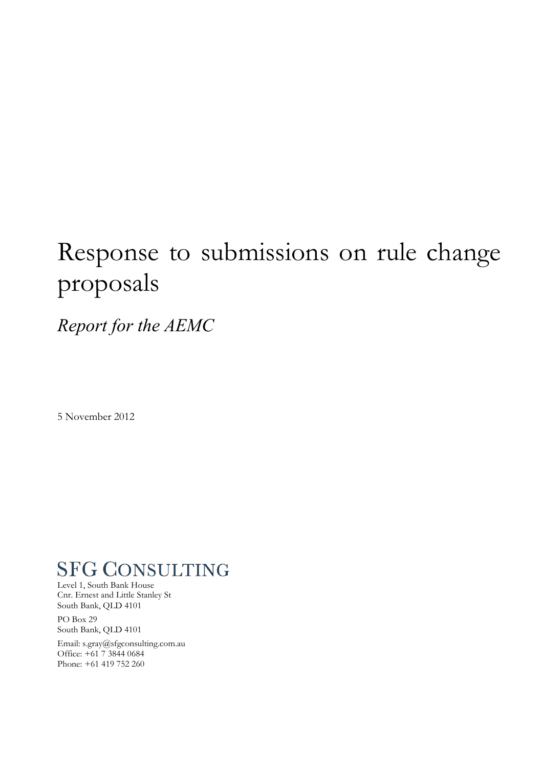# Response to submissions on rule change proposals

*Report for the AEMC*

5 November 2012

## **SFG CONSULTING**

Level 1, South Bank House Cnr. Ernest and Little Stanley St South Bank, QLD 4101

PO Box 29 South Bank, QLD 4101

Email: s.gray@sfgconsulting.com.au Office: +61 7 3844 0684 Phone: +61 419 752 260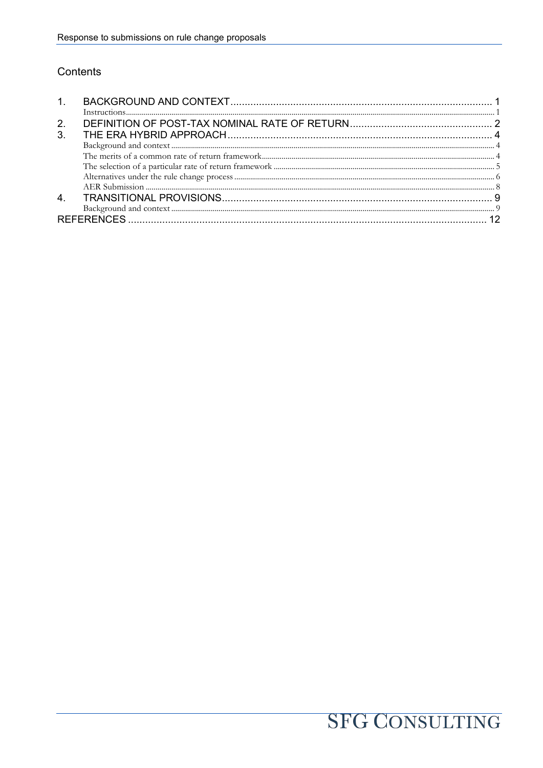#### Contents

| 2.             |  |
|----------------|--|
| 3 <sub>1</sub> |  |
|                |  |
|                |  |
|                |  |
|                |  |
|                |  |
|                |  |
|                |  |
|                |  |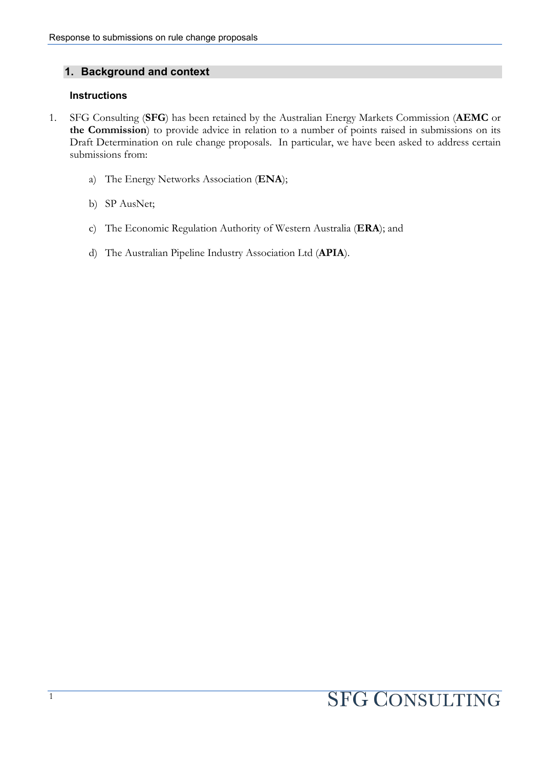#### **1. Background and context**

#### **Instructions**

- 1. SFG Consulting (**SFG**) has been retained by the Australian Energy Markets Commission (**AEMC** or **the Commission**) to provide advice in relation to a number of points raised in submissions on its Draft Determination on rule change proposals. In particular, we have been asked to address certain submissions from:
	- a) The Energy Networks Association (**ENA**);
	- b) SP AusNet;
	- c) The Economic Regulation Authority of Western Australia (**ERA**); and
	- d) The Australian Pipeline Industry Association Ltd (**APIA**).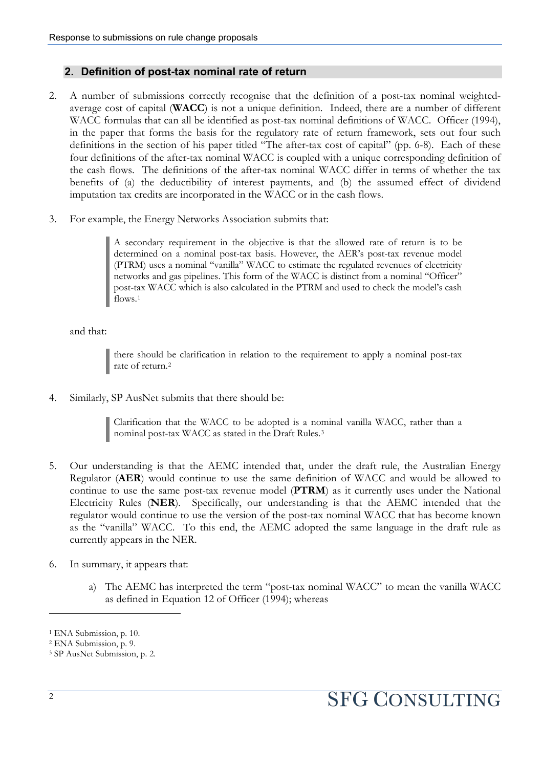#### **2. Definition of post-tax nominal rate of return**

- 2. A number of submissions correctly recognise that the definition of a post-tax nominal weightedaverage cost of capital (**WACC**) is not a unique definition. Indeed, there are a number of different WACC formulas that can all be identified as post-tax nominal definitions of WACC. Officer (1994), in the paper that forms the basis for the regulatory rate of return framework, sets out four such definitions in the section of his paper titled "The after-tax cost of capital" (pp. 6-8). Each of these four definitions of the after-tax nominal WACC is coupled with a unique corresponding definition of the cash flows. The definitions of the after-tax nominal WACC differ in terms of whether the tax benefits of (a) the deductibility of interest payments, and (b) the assumed effect of dividend imputation tax credits are incorporated in the WACC or in the cash flows.
- 3. For example, the Energy Networks Association submits that:

A secondary requirement in the objective is that the allowed rate of return is to be determined on a nominal post-tax basis. However, the AER's post-tax revenue model (PTRM) uses a nominal "vanilla" WACC to estimate the regulated revenues of electricity networks and gas pipelines. This form of the WACC is distinct from a nominal "Officer" post-tax WACC which is also calculated in the PTRM and used to check the model's cash flows.<sup>[1](#page-3-0)</sup>

and that:

there should be clarification in relation to the requirement to apply a nominal post-tax rate of return[.2](#page-3-1)

4. Similarly, SP AusNet submits that there should be:

Clarification that the WACC to be adopted is a nominal vanilla WACC, rather than a nominal post-tax WACC as stated in the Draft Rules.[3](#page-3-2)

- 5. Our understanding is that the AEMC intended that, under the draft rule, the Australian Energy Regulator (**AER**) would continue to use the same definition of WACC and would be allowed to continue to use the same post-tax revenue model (**PTRM**) as it currently uses under the National Electricity Rules (**NER**). Specifically, our understanding is that the AEMC intended that the regulator would continue to use the version of the post-tax nominal WACC that has become known as the "vanilla" WACC. To this end, the AEMC adopted the same language in the draft rule as currently appears in the NER.
- 6. In summary, it appears that:
	- a) The AEMC has interpreted the term "post-tax nominal WACC" to mean the vanilla WACC as defined in Equation 12 of Officer (1994); whereas

<span id="page-3-0"></span><sup>&</sup>lt;sup>1</sup> ENA Submission, p. 10.

<span id="page-3-1"></span><sup>2</sup> ENA Submission, p. 9.

<span id="page-3-2"></span><sup>3</sup> SP AusNet Submission, p. 2.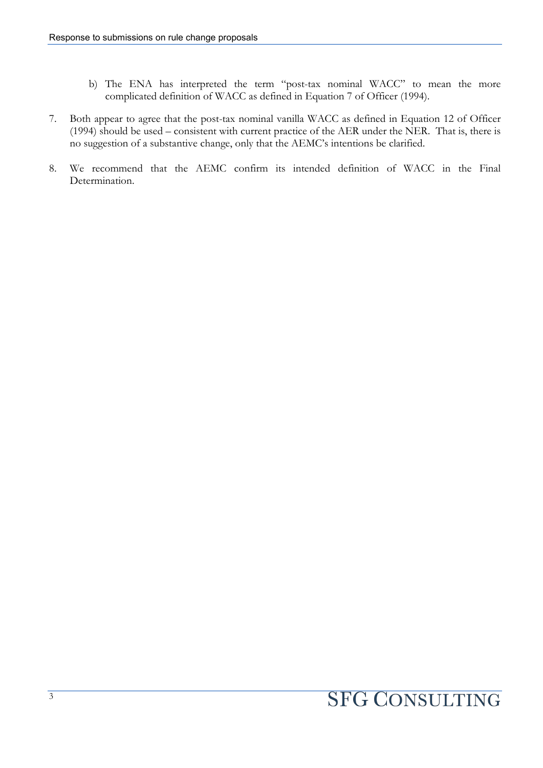- b) The ENA has interpreted the term "post-tax nominal WACC" to mean the more complicated definition of WACC as defined in Equation 7 of Officer (1994).
- 7. Both appear to agree that the post-tax nominal vanilla WACC as defined in Equation 12 of Officer (1994) should be used – consistent with current practice of the AER under the NER. That is, there is no suggestion of a substantive change, only that the AEMC's intentions be clarified.
- 8. We recommend that the AEMC confirm its intended definition of WACC in the Final Determination.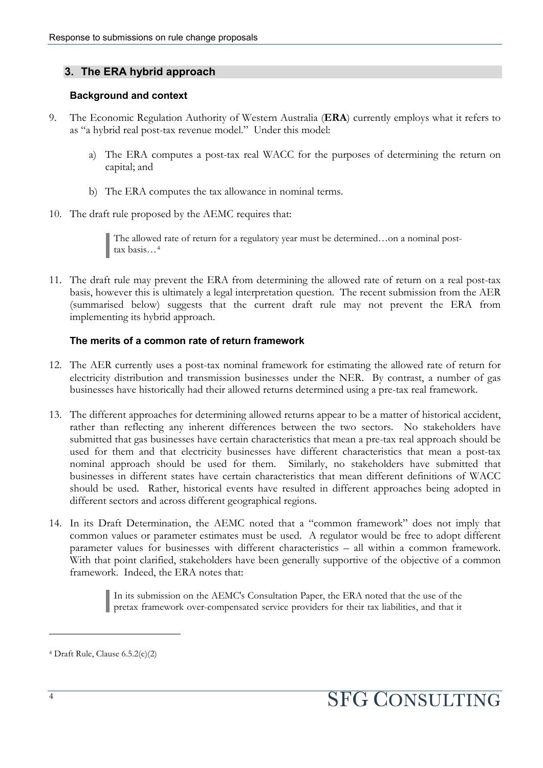#### **3. The ERA hybrid approach**

#### **Background and context**

- 9. The Economic Regulation Authority of Western Australia (**ERA**) currently employs what it refers to as "a hybrid real post-tax revenue model." Under this model:
	- a) The ERA computes a post-tax real WACC for the purposes of determining the return on capital; and
	- b) The ERA computes the tax allowance in nominal terms.
- 10. The draft rule proposed by the AEMC requires that:

The allowed rate of return for a regulatory year must be determined…on a nominal post-The allowed tax basis...<sup>[4](#page-5-0)</sup>

11. The draft rule may prevent the ERA from determining the allowed rate of return on a real post-tax basis, however this is ultimately a legal interpretation question. The recent submission from the AER (summarised below) suggests that the current draft rule may not prevent the ERA from implementing its hybrid approach.

#### **The merits of a common rate of return framework**

- 12. The AER currently uses a post-tax nominal framework for estimating the allowed rate of return for electricity distribution and transmission businesses under the NER. By contrast, a number of gas businesses have historically had their allowed returns determined using a pre-tax real framework.
- 13. The different approaches for determining allowed returns appear to be a matter of historical accident, rather than reflecting any inherent differences between the two sectors. No stakeholders have submitted that gas businesses have certain characteristics that mean a pre-tax real approach should be used for them and that electricity businesses have different characteristics that mean a post-tax nominal approach should be used for them. Similarly, no stakeholders have submitted that businesses in different states have certain characteristics that mean different definitions of WACC should be used. Rather, historical events have resulted in different approaches being adopted in different sectors and across different geographical regions.
- 14. In its Draft Determination, the AEMC noted that a "common framework" does not imply that common values or parameter estimates must be used. A regulator would be free to adopt different parameter values for businesses with different characteristics – all within a common framework. With that point clarified, stakeholders have been generally supportive of the objective of a common framework. Indeed, the ERA notes that:

In its submission on the AEMC's Consultation Paper, the ERA noted that the use of the pretax framework over-compensated service providers for their tax liabilities, and that it

<span id="page-5-0"></span><sup>4</sup> Draft Rule, Clause 6.5.2(c)(2)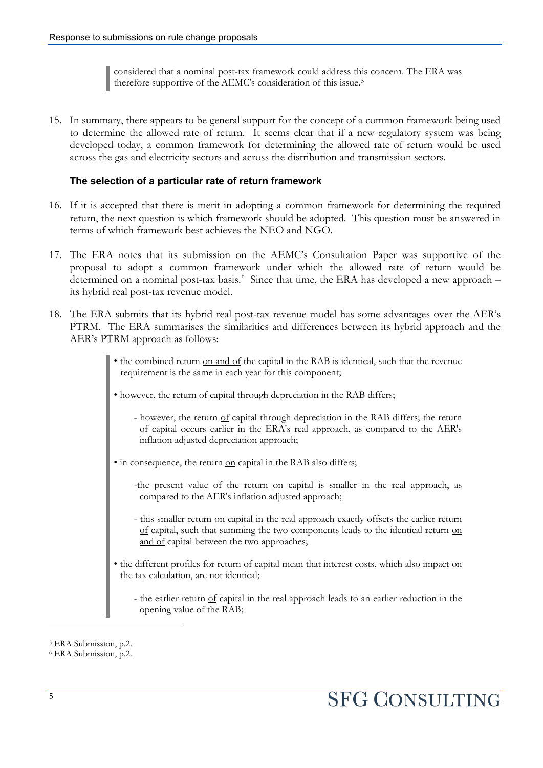considered that a nominal post-tax framework could address this concern. The ERA was therefore supportive of the AEMC's consideration of this issue.[5](#page-6-0)

15. In summary, there appears to be general support for the concept of a common framework being used to determine the allowed rate of return. It seems clear that if a new regulatory system was being developed today, a common framework for determining the allowed rate of return would be used across the gas and electricity sectors and across the distribution and transmission sectors.

#### **The selection of a particular rate of return framework**

- 16. If it is accepted that there is merit in adopting a common framework for determining the required return, the next question is which framework should be adopted. This question must be answered in terms of which framework best achieves the NEO and NGO.
- 17. The ERA notes that its submission on the AEMC's Consultation Paper was supportive of the proposal to adopt a common framework under which the allowed rate of return would be determined on a nominal post-tax basis.<sup>[6](#page-6-1)</sup> Since that time, the ERA has developed a new approach its hybrid real post-tax revenue model.
- 18. The ERA submits that its hybrid real post-tax revenue model has some advantages over the AER's PTRM. The ERA summarises the similarities and differences between its hybrid approach and the AER's PTRM approach as follows:
	- the combined return on and of the capital in the RAB is identical, such that the revenue requirement is the same in each year for this component;
	- however, the return of capital through depreciation in the RAB differs;
		- however, the return of capital through depreciation in the RAB differs; the return of capital occurs earlier in the ERA's real approach, as compared to the AER's inflation adjusted depreciation approach;
	- in consequence, the return on capital in the RAB also differs;
		- -the present value of the return on capital is smaller in the real approach, as compared to the AER's inflation adjusted approach;
		- this smaller return on capital in the real approach exactly offsets the earlier return of capital, such that summing the two components leads to the identical return on and of capital between the two approaches;
	- the different profiles for return of capital mean that interest costs, which also impact on the tax calculation, are not identical;
		- the earlier return of capital in the real approach leads to an earlier reduction in the opening value of the RAB;

<span id="page-6-0"></span><sup>5</sup> ERA Submission, p.2.

<span id="page-6-1"></span><sup>6</sup> ERA Submission, p.2.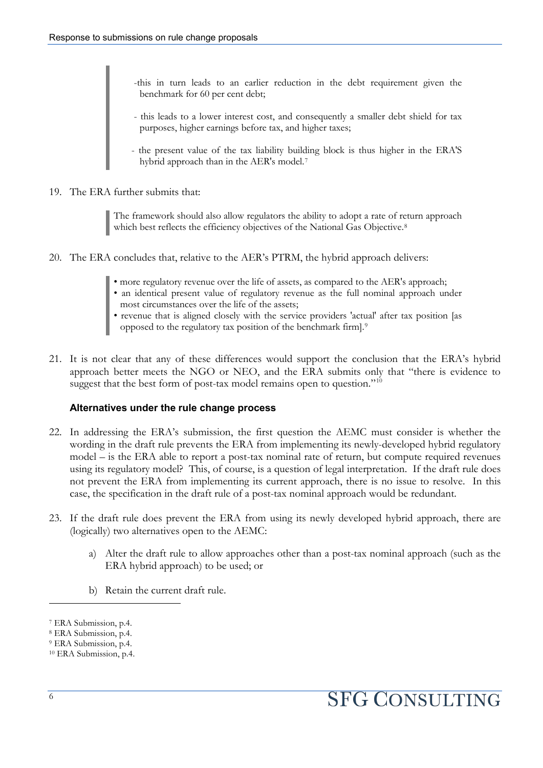-this in turn leads to an earlier reduction in the debt requirement given the benchmark for 60 per cent debt;

- this leads to a lower interest cost, and consequently a smaller debt shield for tax purposes, higher earnings before tax, and higher taxes;
- the present value of the tax liability building block is thus higher in the ERA'S hybrid approach than in the AER's model.<sup>[7](#page-7-0)</sup>
- 19. The ERA further submits that:

The framework should also allow regulators the ability to adopt a rate of return approach which best reflects the efficiency objectives of the National Gas Objective.<sup>8</sup>

- 20. The ERA concludes that, relative to the AER's PTRM, the hybrid approach delivers:
	- more regulatory revenue over the life of assets, as compared to the AER's approach;
	- an identical present value of regulatory revenue as the full nominal approach under most circumstances over the life of the assets;
	- revenue that is aligned closely with the service providers 'actual' after tax position [as
	- opposed to the regulatory tax position of the benchmark firm].[9](#page-7-2)
- 21. It is not clear that any of these differences would support the conclusion that the ERA's hybrid approach better meets the NGO or NEO, and the ERA submits only that "there is evidence to suggest that the best form of post-tax model remains open to question."<sup>[10](#page-7-3)</sup>

#### **Alternatives under the rule change process**

- 22. In addressing the ERA's submission, the first question the AEMC must consider is whether the wording in the draft rule prevents the ERA from implementing its newly-developed hybrid regulatory model – is the ERA able to report a post-tax nominal rate of return, but compute required revenues using its regulatory model? This, of course, is a question of legal interpretation. If the draft rule does not prevent the ERA from implementing its current approach, there is no issue to resolve. In this case, the specification in the draft rule of a post-tax nominal approach would be redundant.
- 23. If the draft rule does prevent the ERA from using its newly developed hybrid approach, there are (logically) two alternatives open to the AEMC:
	- a) Alter the draft rule to allow approaches other than a post-tax nominal approach (such as the ERA hybrid approach) to be used; or
	- b) Retain the current draft rule.

l

<span id="page-7-0"></span><sup>7</sup> ERA Submission, p.4.

<span id="page-7-1"></span><sup>8</sup> ERA Submission, p.4.

<span id="page-7-2"></span><sup>9</sup> ERA Submission, p.4.

<span id="page-7-3"></span><sup>10</sup> ERA Submission, p.4.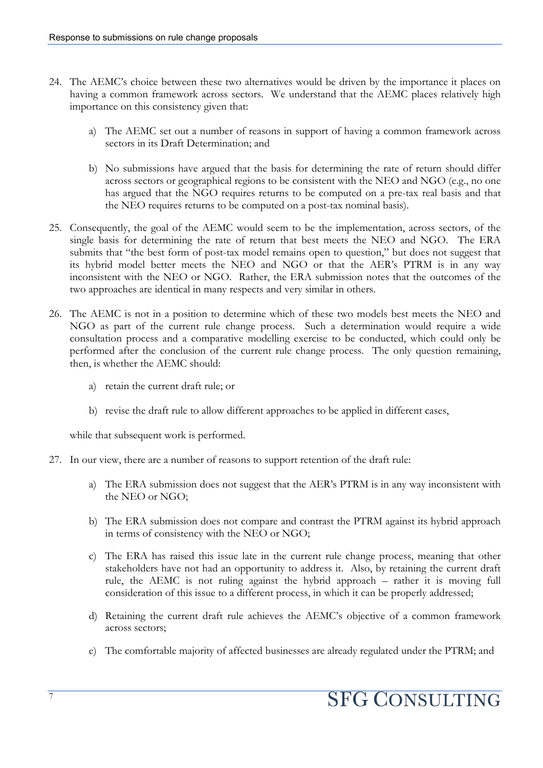- 24. The AEMC's choice between these two alternatives would be driven by the importance it places on having a common framework across sectors. We understand that the AEMC places relatively high importance on this consistency given that:
	- a) The AEMC set out a number of reasons in support of having a common framework across sectors in its Draft Determination; and
	- b) No submissions have argued that the basis for determining the rate of return should differ across sectors or geographical regions to be consistent with the NEO and NGO (e.g., no one has argued that the NGO requires returns to be computed on a pre-tax real basis and that the NEO requires returns to be computed on a post-tax nominal basis).
- 25. Consequently, the goal of the AEMC would seem to be the implementation, across sectors, of the single basis for determining the rate of return that best meets the NEO and NGO. The ERA submits that "the best form of post-tax model remains open to question," but does not suggest that its hybrid model better meets the NEO and NGO or that the AER's PTRM is in any way inconsistent with the NEO or NGO. Rather, the ERA submission notes that the outcomes of the two approaches are identical in many respects and very similar in others.
- 26. The AEMC is not in a position to determine which of these two models best meets the NEO and NGO as part of the current rule change process. Such a determination would require a wide consultation process and a comparative modelling exercise to be conducted, which could only be performed after the conclusion of the current rule change process. The only question remaining, then, is whether the AEMC should:
	- a) retain the current draft rule; or
	- b) revise the draft rule to allow different approaches to be applied in different cases,

while that subsequent work is performed.

- 27. In our view, there are a number of reasons to support retention of the draft rule:
	- a) The ERA submission does not suggest that the AER's PTRM is in any way inconsistent with the NEO or NGO;
	- b) The ERA submission does not compare and contrast the PTRM against its hybrid approach in terms of consistency with the NEO or NGO;
	- c) The ERA has raised this issue late in the current rule change process, meaning that other stakeholders have not had an opportunity to address it. Also, by retaining the current draft rule, the AEMC is not ruling against the hybrid approach – rather it is moving full consideration of this issue to a different process, in which it can be properly addressed;
	- d) Retaining the current draft rule achieves the AEMC's objective of a common framework across sectors;
	- e) The comfortable majority of affected businesses are already regulated under the PTRM; and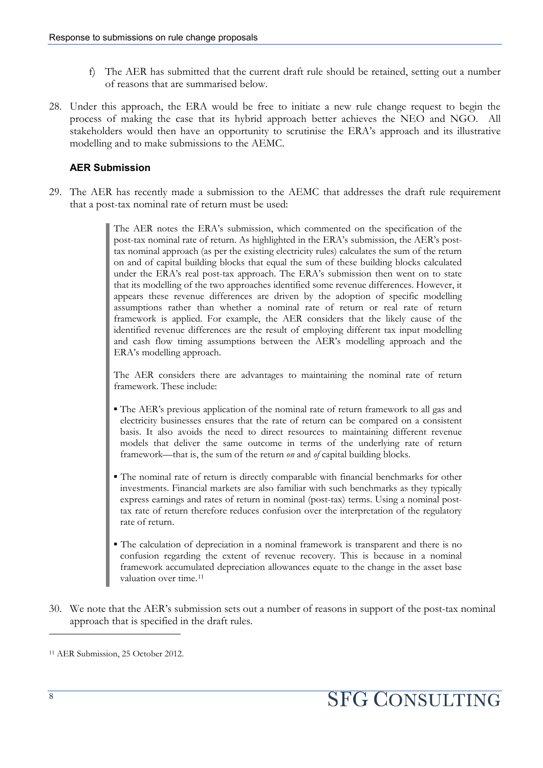- f) The AER has submitted that the current draft rule should be retained, setting out a number of reasons that are summarised below.
- 28. Under this approach, the ERA would be free to initiate a new rule change request to begin the process of making the case that its hybrid approach better achieves the NEO and NGO. All stakeholders would then have an opportunity to scrutinise the ERA's approach and its illustrative modelling and to make submissions to the AEMC.

#### **AER Submission**

29. The AER has recently made a submission to the AEMC that addresses the draft rule requirement that a post-tax nominal rate of return must be used:

> The AER notes the ERA's submission, which commented on the specification of the post-tax nominal rate of return. As highlighted in the ERA's submission, the AER's posttax nominal approach (as per the existing electricity rules) calculates the sum of the return on and of capital building blocks that equal the sum of these building blocks calculated under the ERA's real post-tax approach. The ERA's submission then went on to state that its modelling of the two approaches identified some revenue differences. However, it appears these revenue differences are driven by the adoption of specific modelling assumptions rather than whether a nominal rate of return or real rate of return framework is applied. For example, the AER considers that the likely cause of the identified revenue differences are the result of employing different tax input modelling and cash flow timing assumptions between the AER's modelling approach and the ERA's modelling approach.

> The AER considers there are advantages to maintaining the nominal rate of return framework. These include:

- The AER's previous application of the nominal rate of return framework to all gas and electricity businesses ensures that the rate of return can be compared on a consistent basis. It also avoids the need to direct resources to maintaining different revenue models that deliver the same outcome in terms of the underlying rate of return framework—that is, the sum of the return *on* and *of* capital building blocks.
- The nominal rate of return is directly comparable with financial benchmarks for other investments. Financial markets are also familiar with such benchmarks as they typically express earnings and rates of return in nominal (post-tax) terms. Using a nominal posttax rate of return therefore reduces confusion over the interpretation of the regulatory rate of return.
- The calculation of depreciation in a nominal framework is transparent and there is no confusion regarding the extent of revenue recovery. This is because in a nominal framework accumulated depreciation allowances equate to the change in the asset base valuation over time.<sup>[11](#page-9-0)</sup>
- 30. We note that the AER's submission sets out a number of reasons in support of the post-tax nominal approach that is specified in the draft rules.

<span id="page-9-0"></span><sup>11</sup> AER Submission, 25 October 2012.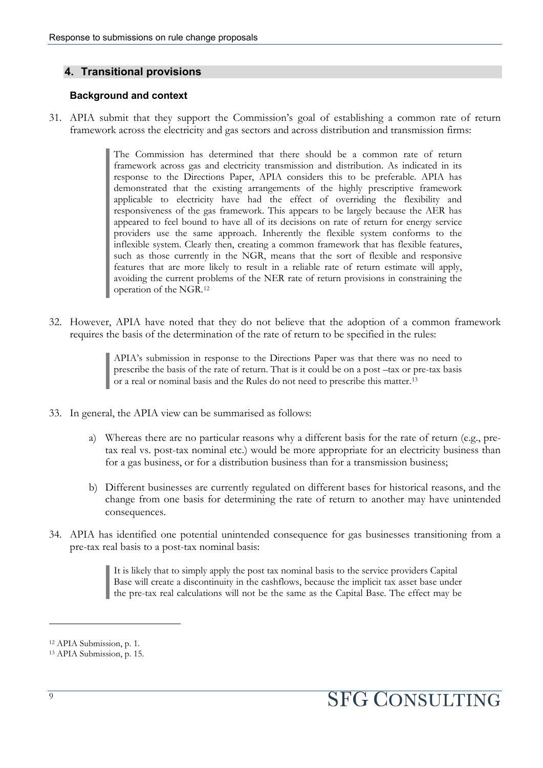#### **4. Transitional provisions**

#### **Background and context**

31. APIA submit that they support the Commission's goal of establishing a common rate of return framework across the electricity and gas sectors and across distribution and transmission firms:

> The Commission has determined that there should be a common rate of return framework across gas and electricity transmission and distribution. As indicated in its response to the Directions Paper, APIA considers this to be preferable. APIA has demonstrated that the existing arrangements of the highly prescriptive framework applicable to electricity have had the effect of overriding the flexibility and responsiveness of the gas framework. This appears to be largely because the AER has appeared to feel bound to have all of its decisions on rate of return for energy service providers use the same approach. Inherently the flexible system conforms to the inflexible system. Clearly then, creating a common framework that has flexible features, such as those currently in the NGR, means that the sort of flexible and responsive features that are more likely to result in a reliable rate of return estimate will apply, avoiding the current problems of the NER rate of return provisions in constraining the operation of the NGR.[12](#page-10-0)

32. However, APIA have noted that they do not believe that the adoption of a common framework requires the basis of the determination of the rate of return to be specified in the rules:

> APIA's submission in response to the Directions Paper was that there was no need to prescribe the basis of the rate of return. That is it could be on a post –tax or pre-tax basis or a real or nominal basis and the Rules do not need to prescribe this matter.[13](#page-10-1)

- 33. In general, the APIA view can be summarised as follows:
	- a) Whereas there are no particular reasons why a different basis for the rate of return (e.g., pretax real vs. post-tax nominal etc.) would be more appropriate for an electricity business than for a gas business, or for a distribution business than for a transmission business;
	- b) Different businesses are currently regulated on different bases for historical reasons, and the change from one basis for determining the rate of return to another may have unintended consequences.
- 34. APIA has identified one potential unintended consequence for gas businesses transitioning from a pre-tax real basis to a post-tax nominal basis:

It is likely that to simply apply the post tax nominal basis to the service providers Capital Base will create a discontinuity in the cashflows, because the implicit tax asset base under the pre-tax real calculations will not be the same as the Capital Base. The effect may be

<span id="page-10-0"></span><sup>12</sup> APIA Submission, p. 1.

<span id="page-10-1"></span><sup>13</sup> APIA Submission, p. 15.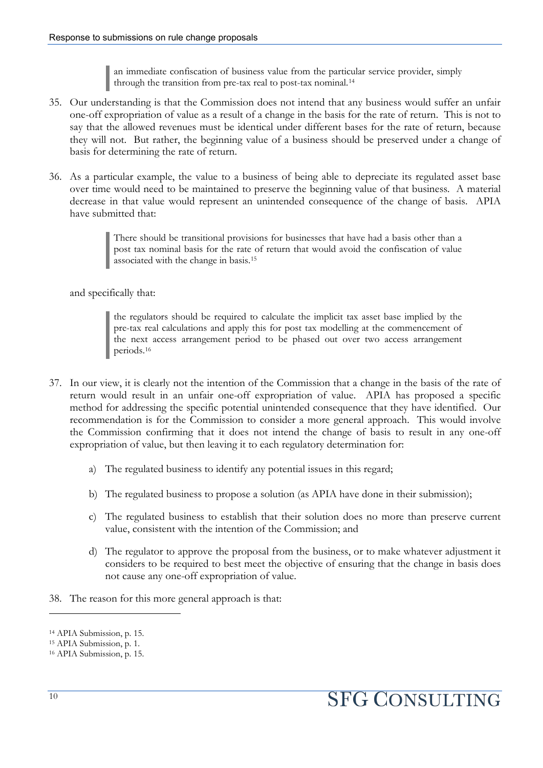an immediate confiscation of business value from the particular service provider, simply through the transition from pre-tax real to post-tax nominal.[14](#page-11-0)

- 35. Our understanding is that the Commission does not intend that any business would suffer an unfair one-off expropriation of value as a result of a change in the basis for the rate of return. This is not to say that the allowed revenues must be identical under different bases for the rate of return, because they will not. But rather, the beginning value of a business should be preserved under a change of basis for determining the rate of return.
- 36. As a particular example, the value to a business of being able to depreciate its regulated asset base over time would need to be maintained to preserve the beginning value of that business. A material decrease in that value would represent an unintended consequence of the change of basis. APIA have submitted that:

There should be transitional provisions for businesses that have had a basis other than a post tax nominal basis for the rate of return that would avoid the confiscation of value associated with the change in basis.[15](#page-11-1)

and specifically that:

the regulators should be required to calculate the implicit tax asset base implied by the pre-tax real calculations and apply this for post tax modelling at the commencement of the next access arrangement period to be phased out over two access arrangement periods.[16](#page-11-2)

- 37. In our view, it is clearly not the intention of the Commission that a change in the basis of the rate of return would result in an unfair one-off expropriation of value. APIA has proposed a specific method for addressing the specific potential unintended consequence that they have identified. Our recommendation is for the Commission to consider a more general approach. This would involve the Commission confirming that it does not intend the change of basis to result in any one-off expropriation of value, but then leaving it to each regulatory determination for:
	- a) The regulated business to identify any potential issues in this regard;
	- b) The regulated business to propose a solution (as APIA have done in their submission);
	- c) The regulated business to establish that their solution does no more than preserve current value, consistent with the intention of the Commission; and
	- d) The regulator to approve the proposal from the business, or to make whatever adjustment it considers to be required to best meet the objective of ensuring that the change in basis does not cause any one-off expropriation of value.
- 38. The reason for this more general approach is that:

<span id="page-11-0"></span><sup>14</sup> APIA Submission, p. 15.

<span id="page-11-1"></span><sup>15</sup> APIA Submission, p. 1.

<span id="page-11-2"></span><sup>16</sup> APIA Submission, p. 15.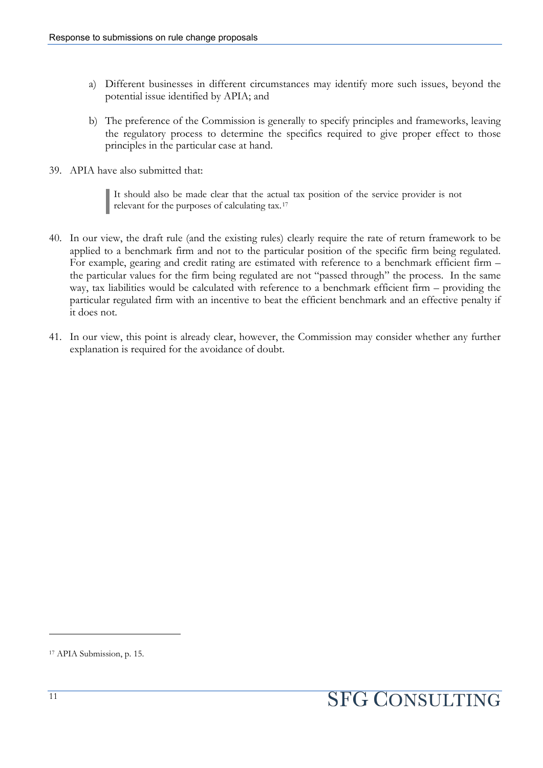- a) Different businesses in different circumstances may identify more such issues, beyond the potential issue identified by APIA; and
- b) The preference of the Commission is generally to specify principles and frameworks, leaving the regulatory process to determine the specifics required to give proper effect to those principles in the particular case at hand.
- 39. APIA have also submitted that:

It should also be made clear that the actual tax position of the service provider is not It should also be made clear that the actual relevant for the purposes of calculating tax.<sup>[17](#page-12-0)</sup>

- 40. In our view, the draft rule (and the existing rules) clearly require the rate of return framework to be applied to a benchmark firm and not to the particular position of the specific firm being regulated. For example, gearing and credit rating are estimated with reference to a benchmark efficient firm – the particular values for the firm being regulated are not "passed through" the process. In the same way, tax liabilities would be calculated with reference to a benchmark efficient firm – providing the particular regulated firm with an incentive to beat the efficient benchmark and an effective penalty if it does not.
- 41. In our view, this point is already clear, however, the Commission may consider whether any further explanation is required for the avoidance of doubt.

<span id="page-12-0"></span><sup>17</sup> APIA Submission, p. 15.